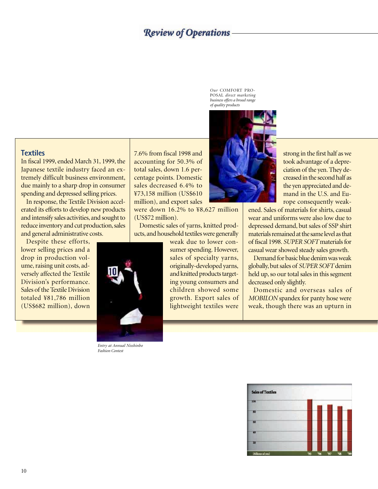# **Review of Operations**

*Our* COMFORT PRO-POSAL *direct marketing business offers a broad range of quality products*



In fiscal 1999, ended March 31, 1999, the Japanese textile industry faced an extremely difficult business environment, due mainly to a sharp drop in consumer spending and depressed selling prices.

In response, the Textile Division accelerated its efforts to develop new products and intensify sales activities, and sought to reduce inventory and cut production, sales and general administrative costs.

Despite these efforts, lower selling prices and a drop in production volume, raising unit costs, adversely affected the Textile Division's performance. Sales of the Textile Division totaled ¥81,786 million (US\$682 million), down 7.6% from fiscal 1998 and accounting for 50.3% of total sales, down 1.6 percentage points. Domestic sales decreased 6.4% to ¥73,158 million (US\$610 million), and export sales

were down 16.2% to ¥8,627 million (US\$72 million).

Domestic sales of yarns, knitted products, and household textiles were generally

weak due to lower consumer spending. However, sales of specialty yarns, originally-developed yarns, and knitted products targeting young consumers and children showed some growth. Export sales of lightweight textiles were



ened. Sales of materials for shirts, casual wear and uniforms were also low due to depressed demand, but sales of SSP shirt materials remained at the same level as that of fiscal 1998. *SUPER SOFT* materials for casual wear showed steady sales growth.

Demand for basic blue denim was weak globally, but sales of *SUPER SOFT* denim held up, so our total sales in this segment decreased only slightly.

Domestic and overseas sales of *MOBILON* spandex for panty hose were weak, though there was an upturn in





*Entry at Annual Nisshinbo Fashion Contest*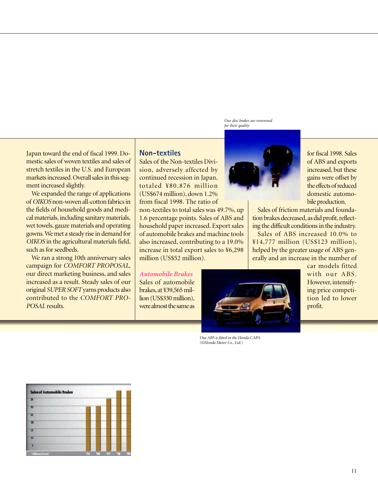*Our disc brakes are renowned for their quality*

Japan toward the end of fiscal 1999. Domestic sales of woven textiles and sales of stretch textiles in the U.S. and European markets increased. Overall sales in this segment increased slightly.

We expanded the range of applications of *OIKOS* non-woven all-cotton fabrics in the fields of household goods and medical materials, including sanitary materials, wet towels, gauze materials and operating gowns. We met a steady rise in demand for *OIKOS* in the agricultural materials field, such as for seedbeds.

We ran a strong 10th anniversary sales campaign for *COMFORT PROPOSAL*, our direct marketing business, and sales increased as a result. Steady sales of our original *SUPER SOFT* yarns products also contributed to the *COMFORT PRO-POSAL* results.

# **Non-textiles**

Sales of the Non-textiles Division, adversely affected by continued recession in Japan, totaled ¥80,876 million (US\$674 million), down 1.2% from fiscal 1998. The ratio of

non-textiles to total sales was 49.7%, up 1.6 percentage points. Sales of ABS and household paper increased. Export sales of automobile brakes and machine tools also increased, contributing to a 19.0% increase in total export sales to ¥6,298 million (US\$52 million).

#### *Automobile Brakes*

Sales of automobile brakes, at ¥39,565 million (US\$330 million), were almost the same as



for fiscal 1998. Sales of ABS and exports increased, but these gains were offset by the effects of reduced domestic automobile production.

with our ABS. However, intensifying price competition led to lower

profit.

Sales of friction materials and foundation brakes decreased, as did profit, reflecting the difficult conditions in the industry.

Sales of ABS increased 10.0% to ¥14,777 million (US\$123 million), helped by the greater usage of ABS generally and an increase in the number of car models fitted



*Our ABS is fitted in the Honda CAPA (©Honda Motor Co., Ltd.)*

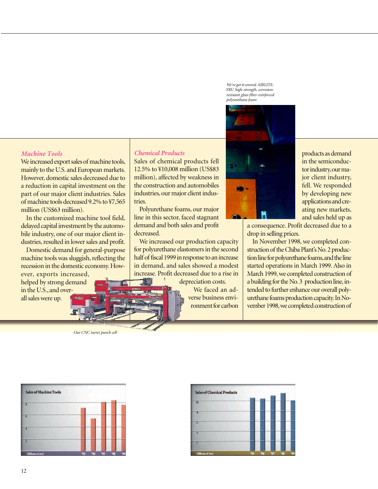### *Machine Tools*

We increased export sales of machine tools, mainly to the U.S. and European markets. However, domestic sales decreased due to a reduction in capital investment on the part of our major client industries. Sales of machine tools decreased 9.2% to ¥7,565 million (US\$63 million).

In the customized machine tool field, delayed capital investment by the automobile industry, one of our major client industries, resulted in lower sales and profit.

Domestic demand for general-purpose machine tools was sluggish, reflecting the recession in the domestic economy. How-

*Our CNC turret punch cell*

ever, exports increased, helped by strong demand in the U.S., and overall sales were up.

*Chemical Products* Sales of chemical products fell

12.5% to ¥10,008 million (US\$83 million), affected by weakness in the construction and automobiles industries, our major client industries.

Polyurethane foams, our major line in this sector, faced stagnant demand and both sales and profit decreased.

We increased our production capacity for polyurethane elastomers in the second half of fiscal 1999 in response to an increase in demand, and sales showed a modest increase. Profit decreased due to a rise in

depreciation costs. We faced an adverse business environment for carbon

*We've got it covered.* AIRLITE-FRU *high-strength, corrosionresistant glass fiber-reinforced polyurethane foam*



products as demand in the semiconductor industry, our major client industry, fell. We responded by developing new applications and creating new markets, and sales held up as

a consequence. Profit decreased due to a drop in selling prices.

In November 1998, we completed construction of the Chiba Plant's No. 2 production line for polyurethane foams, and the line started operations in March 1999. Also in March 1999, we completed construction of a building for the No. 3 production line, intended to further enhance our overall polyurethane foams production capacity. In November 1998, we completed construction of



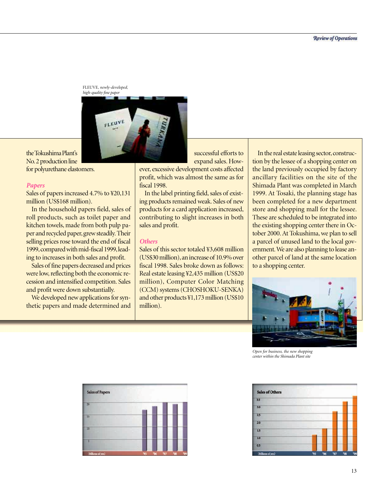FLEUVE*, newly-developed, high-quality fine paper*



the Tokushima Plant's No. 2 production line for polyurethane elastomers.

#### *Papers*

Sales of papers increased 4.7% to ¥20,131 million (US\$168 million).

In the household papers field, sales of roll products, such as toilet paper and kitchen towels, made from both pulp paper and recycled paper, grew steadily. Their selling prices rose toward the end of fiscal 1999, compared with mid-fiscal 1999, leading to increases in both sales and profit.

Sales of fine papers decreased and prices were low, reflecting both the economic recession and intensified competition. Sales and profit were down substantially.

We developed new applications for synthetic papers and made determined and successful efforts to expand sales. How-

ever, excessive development costs affected profit, which was almost the same as for fiscal 1998.

In the label printing field, sales of existing products remained weak. Sales of new products for a card application increased, contributing to slight increases in both sales and profit.

## *Others*

Sales of this sector totaled ¥3,608 million (US\$30 million), an increase of 10.9% over fiscal 1998. Sales broke down as follows: Real estate leasing ¥2,435 million (US\$20 million), Computer Color Matching (CCM) systems (CHOSHOKU-SENKA) and other products ¥1,173 million (US\$10 million).

In the real estate leasing sector, construction by the lessee of a shopping center on the land previously occupied by factory ancillary facilities on the site of the Shimada Plant was completed in March 1999. At Tosaki, the planning stage has been completed for a new department store and shopping mall for the lessee. These are scheduled to be integrated into the existing shopping center there in October 2000. At Tokushima, we plan to sell a parcel of unused land to the local government. We are also planning to lease another parcel of land at the same location to a shopping center.



*Open for business, the new shopping center within the Shimada Plant site*

| <b>Sales of Papers</b> |  |     |     |     |     |  |
|------------------------|--|-----|-----|-----|-----|--|
| 20                     |  |     |     |     |     |  |
| 15                     |  |     |     |     |     |  |
| 10                     |  |     |     |     |     |  |
| Б                      |  |     |     |     |     |  |
| (Billions of yea)      |  | 495 | '96 | *97 | 498 |  |

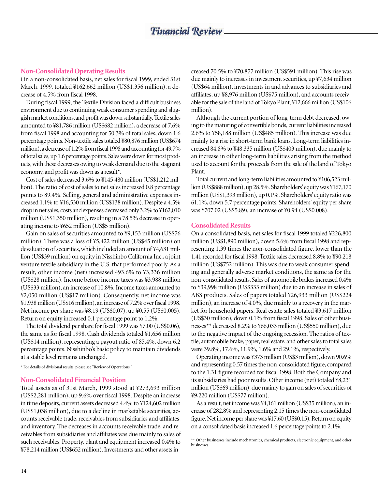# **Non-Consolidated Operating Results**

On a non-consolidated basis, net sales for fiscal 1999, ended 31st March, 1999, totaled ¥162,662 million (US\$1,356 million), a decrease of 4.5% from fiscal 1998.

During fiscal 1999, the Textile Division faced a difficult business environment due to continuing weak consumer spending and sluggish market conditions, and profit was down substantially. Textile sales amounted to ¥81,786 million (US\$682 million), a decrease of 7.6% from fiscal 1998 and accounting for 50.3% of total sales, down 1.6 percentage points. Non-textile sales totaled ¥80,876 million (US\$674 million), a decrease of 1.2% from fiscal 1998 and accounting for 49.7% of total sales, up 1.6 percentage points. Sales were down for most products, with these decreases owing to weak demand due to the stagnant economy, and profit was down as a result\*.

Cost of sales decreased 3.6% to ¥145,480 million (US\$1,212 million). The ratio of cost of sales to net sales increased 0.8 percentage points to 89.4%. Selling, general and administrative expenses increased 1.1% to ¥16,530 million (US\$138 million). Despite a 4.5% drop in net sales, costs and expenses decreased only 3.2% to ¥162,010 million (US\$1,350 million), resulting in a 78.5% decrease in operating income to ¥652 million (US\$5 million).

Gain on sales of securities amounted to ¥9,153 million (US\$76 million). There was a loss of ¥5,422 million (US\$45 million) on devaluation of securities, which included an amount of ¥4,631 million (US\$39 million) on equity in Nisshinbo California Inc., a joint venture textile subsidiary in the U.S. that performed poorly. As a result, other income (net) increased 493.6% to ¥3,336 million (US\$28 million). Income before income taxes was ¥3,988 million (US\$33 million), an increase of 10.8%. Income taxes amounted to ¥2,050 million (US\$17 million). Consequently, net income was ¥1,938 million (US\$16 million), an increase of 7.2% over fiscal 1998. Net income per share was ¥8.19 (US\$0.07), up ¥0.55 (US\$0.005). Return on equity increased 0.1 percentage point to 1.2%.

The total dividend per share for fiscal 1999 was ¥7.00 (US\$0.06), the same as for fiscal 1998. Cash dividends totaled ¥1,656 million (US\$14 million), representing a payout ratio of 85.4%, down 6.2 percentage points. Nisshinbo's basic policy to maintain dividends at a stable level remains unchanged.

\* For details of divisional results, please see "Review of Operations."

#### **Non-Consolidated Financial Position**

Total assets as of 31st March, 1999 stood at ¥273,693 million (US\$2,281 million), up 9.6% over fiscal 1998. Despite an increase in time deposits, current assets decreased 4.4% to ¥124,602 million (US\$1,038 million), due to a decline in marketable securities, accounts receivable trade, receivables from subsidiaries and affiliates, and inventory. The decreases in accounts receivable trade, and receivables from subsidiaries and affiliates was due mainly to sales of such receivables. Property, plant and equipment increased 0.4% to ¥78,214 million (US\$652 million). Investments and other assets increased 70.5% to ¥70,877 million (US\$591 million). This rise was due mainly to increases in investment securities, up ¥7,634 million (US\$64 million), investments in and advances to subsidiaries and affiliates, up ¥8,976 million (US\$75 million), and accounts receivable for the sale of the land of Tokyo Plant, ¥12,666 million (US\$106 million).

Although the current portion of long-term debt decreased, owing to the maturing of convertible bonds, current liabilities increased 2.6% to ¥58,188 million (US\$485 million). This increase was due mainly to a rise in short-term bank loans. Long-term liabilities increased 84.8% to ¥48,335 million (US\$403 million), due mainly to an increase in other long-term liabilities arising from the method used to account for the proceeds from the sale of the land of Tokyo Plant.

Total current and long-term liabilities amounted to ¥106,523 million (US\$888 million), up 28.5%. Shareholders' equity was ¥167,170 million (US\$1,393 million), up 0.1%. Shareholders' equity ratio was 61.1%, down 5.7 percentage points. Shareholders' equity per share was ¥707.02 (US\$5.89), an increase of ¥0.94 (US\$0.008).

#### **Consolidated Results**

On a consolidated basis, net sales for fiscal 1999 totaled ¥226,800 million (US\$1,890 million), down 5.6% from fiscal 1998 and representing 1.39 times the non-consolidated figure, lower than the 1.41 recorded for fiscal 1998. Textile sales decreased 8.8% to ¥90,218 million (US\$752 million). This was due to weak consumer spending and generally adverse market conditions, the same as for the non-consolidated results. Sales of automobile brakes increased 0.4% to ¥39,998 million (US\$333 million) due to an increase in sales of ABS products. Sales of papers totaled ¥26,933 million (US\$224 million), an increase of 4.0%, due mainly to a recovery in the market for household papers. Real estate sales totaled ¥3,617 million (US\$30 million), down 0.1% from fiscal 1998. Sales of other businesses\*\* decreased 8.2% to ¥66,033 million (US\$550 million), due to the negative impact of the ongoing recession. The ratios of textile, automobile brake, paper, real estate, and other sales to total sales were 39.8%, 17.6%, 11.9%, 1.6% and 29.1%, respectively.

Operating income was ¥373 million (US\$3 million), down 90.6% and representing 0.57 times the non-consolidated figure, compared to the 1.31 figure recorded for fiscal 1998. Both the Company and its subsidiaries had poor results. Other income (net) totaled ¥8,231 million (US\$69 million), due mainly to gain on sales of securities of ¥9,220 million (US\$77 million).

As a result, net income was ¥4,161 million (US\$35 million), an increase of 282.8% and representing 2.15 times the non-consolidated figure. Net income per share was ¥17.60 (US\$0.15). Return on equity on a consolidated basis increased 1.6 percentage points to 2.1%.

\*\* Other businesses include mechatronics, chemical products, electronic equipment, and other businesses.